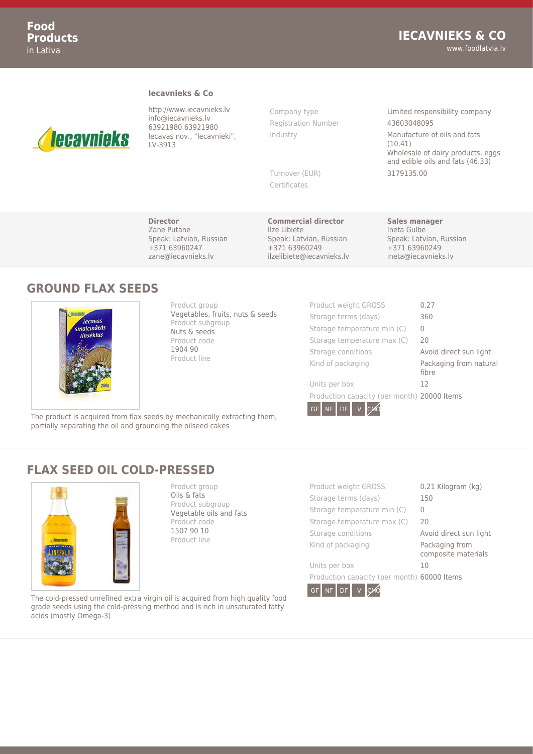#### **Iecavnieks & Co**



http://www.iecavnieks.lv info@iecavnieks.lv 63921980 63921980 Iecavas nov., "Iecavnieki", LV-3913

Registration Number 43603048095

Certificates

Company type **Limited responsibility company** Industry **Manufacture of oils and fats** (10.41) Wholesale of dairy products, eggs and edible oils and fats (46.33) Turnover (EUR) 3179135.00

**Director** Zane Putāne Speak: Latvian, Russian +371 63960247 zane@iecavnieks.lv

**Commercial director** Ilze Lībiete Speak: Latvian, Russian +371 63960249 ilzelibiete@iecavnieks.lv

**Sales manager** Ineta Gulbe Speak: Latvian, Russian +371 63960249 ineta@iecavnieks.lv

### **GROUND FLAX SEEDS**



Product group Vegetables, fruits, nuts & seeds Product subgroup Nuts & seeds Product code 1904 90 Product line

| Product weight GROSS                        | 0.27                            |
|---------------------------------------------|---------------------------------|
| Storage terms (days)                        | 360                             |
| Storage temperature min (C)                 | $\left( \right)$                |
| Storage temperature max (C)                 | 20                              |
| Storage conditions                          | Avoid direct sun light          |
| Kind of packaging                           | Packaging from natural<br>fibre |
| Units per box                               | 12                              |
| Production capacity (per month) 20000 Items |                                 |
| GMO<br>GF<br><b>NF</b><br>DF                |                                 |

The product is acquired from flax seeds by mechanically extracting them, partially separating the oil and grounding the oilseed cakes

# **FLAX SEED OIL COLD-PRESSED**



Product group Oils & fats Product subgroup Vegetable oils and fats Product code 1507 90 10 Product line

| Product weight GROSS                        | 0.21 Kilogram (kg)                    |
|---------------------------------------------|---------------------------------------|
| Storage terms (days)                        | 150                                   |
| Storage temperature min (C)                 | $\cup$                                |
| Storage temperature max (C)                 | 20                                    |
| Storage conditions                          | Avoid direct sun light                |
| Kind of packaging                           | Packaging from<br>composite materials |
| Units per box                               | 10                                    |
| Production capacity (per month) 60000 Items |                                       |

GF NF DF V GVO

The cold-pressed unrefined extra virgin oil is acquired from high quality food grade seeds using the cold-pressing method and is rich in unsaturated fatty acids (mostly Omega-3)